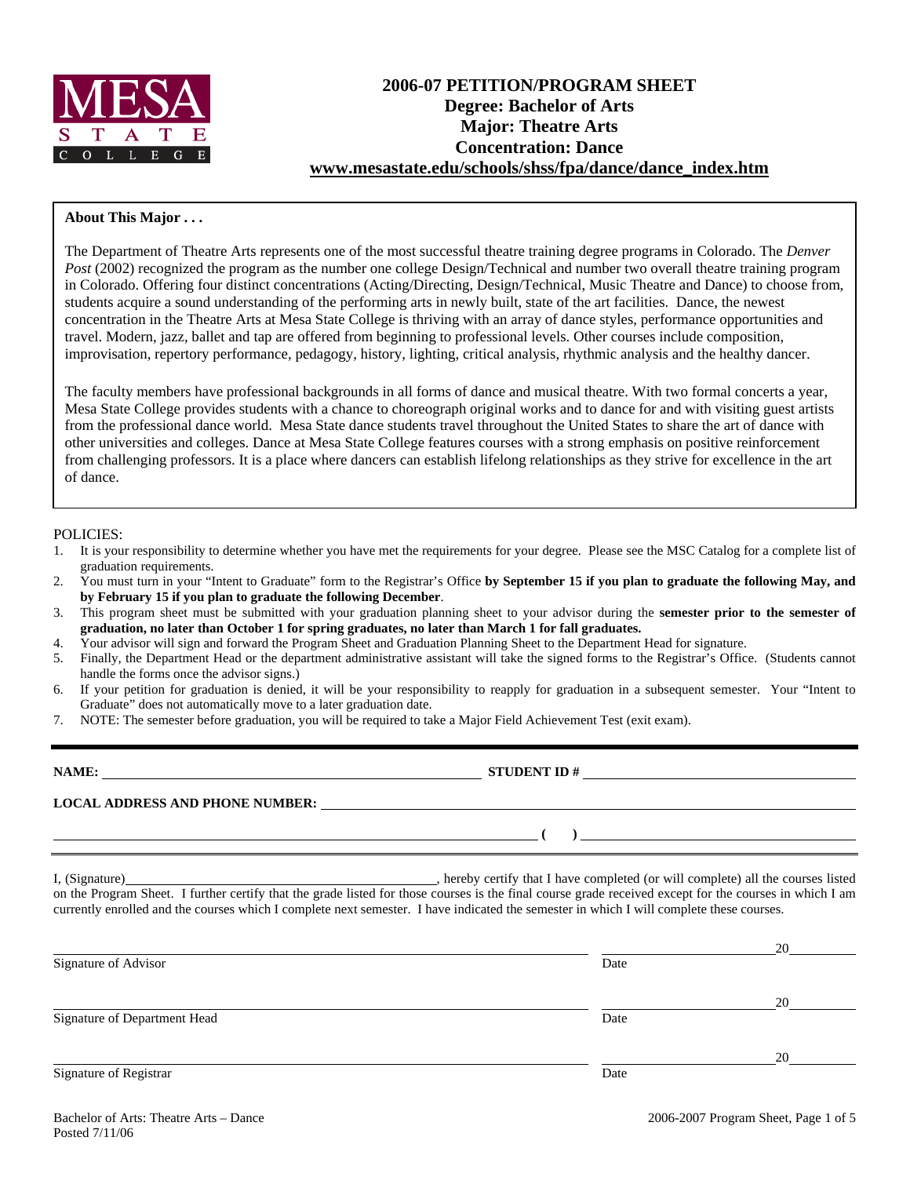

# **2006-07 PETITION/PROGRAM SHEET Degree: Bachelor of Arts Major: Theatre Arts Concentration: Dance www.mesastate.edu/schools/shss/fpa/dance/dance\_index.htm**

#### **About This Major . . .**

The Department of Theatre Arts represents one of the most successful theatre training degree programs in Colorado. The *Denver Post* (2002) recognized the program as the number one college Design/Technical and number two overall theatre training program in Colorado. Offering four distinct concentrations (Acting/Directing, Design/Technical, Music Theatre and Dance) to choose from, students acquire a sound understanding of the performing arts in newly built, state of the art facilities. Dance, the newest concentration in the Theatre Arts at Mesa State College is thriving with an array of dance styles, performance opportunities and travel. Modern, jazz, ballet and tap are offered from beginning to professional levels. Other courses include composition, improvisation, repertory performance, pedagogy, history, lighting, critical analysis, rhythmic analysis and the healthy dancer.

The faculty members have professional backgrounds in all forms of dance and musical theatre. With two formal concerts a year, Mesa State College provides students with a chance to choreograph original works and to dance for and with visiting guest artists from the professional dance world. Mesa State dance students travel throughout the United States to share the art of dance with other universities and colleges. Dance at Mesa State College features courses with a strong emphasis on positive reinforcement from challenging professors. It is a place where dancers can establish lifelong relationships as they strive for excellence in the art of dance.

#### POLICIES:

- 1. It is your responsibility to determine whether you have met the requirements for your degree. Please see the MSC Catalog for a complete list of graduation requirements.
- 2. You must turn in your "Intent to Graduate" form to the Registrar's Office **by September 15 if you plan to graduate the following May, and by February 15 if you plan to graduate the following December**.
- 3. This program sheet must be submitted with your graduation planning sheet to your advisor during the **semester prior to the semester of graduation, no later than October 1 for spring graduates, no later than March 1 for fall graduates.**
- 4. Your advisor will sign and forward the Program Sheet and Graduation Planning Sheet to the Department Head for signature.
- 5. Finally, the Department Head or the department administrative assistant will take the signed forms to the Registrar's Office. (Students cannot handle the forms once the advisor signs.)
- 6. If your petition for graduation is denied, it will be your responsibility to reapply for graduation in a subsequent semester. Your "Intent to Graduate" does not automatically move to a later graduation date.
- 7. NOTE: The semester before graduation, you will be required to take a Major Field Achievement Test (exit exam).

| NAME:                                  | <b>STUDENT ID#</b> |
|----------------------------------------|--------------------|
| <b>LOCAL ADDRESS AND PHONE NUMBER:</b> |                    |
|                                        |                    |

I, (Signature) , hereby certify that I have completed (or will complete) all the courses listed on the Program Sheet. I further certify that the grade listed for those courses is the final course grade received except for the courses in which I am currently enrolled and the courses which I complete next semester. I have indicated the semester in which I will complete these courses.

|                              |      | 20 |
|------------------------------|------|----|
| Signature of Advisor         | Date |    |
|                              |      | 20 |
| Signature of Department Head | Date |    |
|                              |      | 20 |
| Signature of Registrar       | Date |    |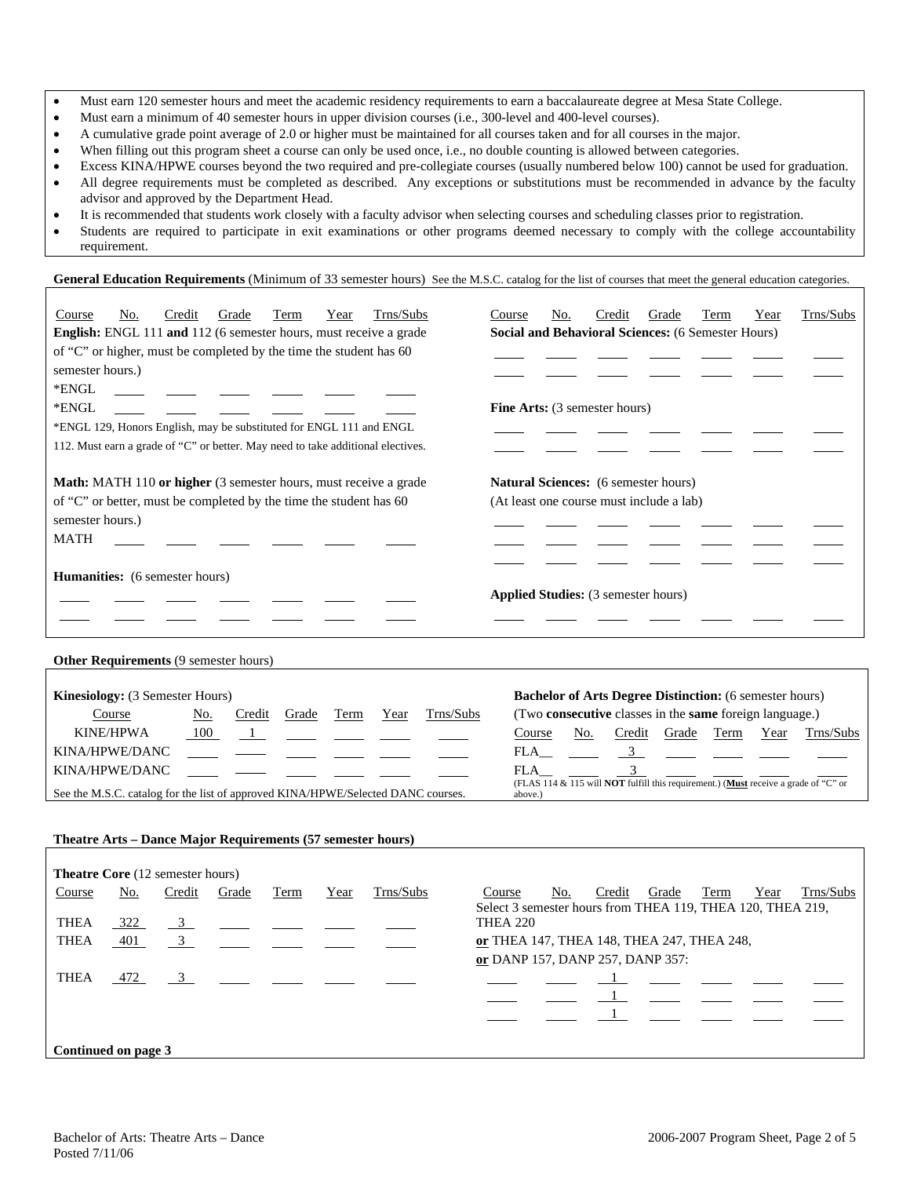- Must earn 120 semester hours and meet the academic residency requirements to earn a baccalaureate degree at Mesa State College.
- Must earn a minimum of 40 semester hours in upper division courses (i.e., 300-level and 400-level courses).
- A cumulative grade point average of 2.0 or higher must be maintained for all courses taken and for all courses in the major.
- When filling out this program sheet a course can only be used once, i.e., no double counting is allowed between categories.
- Excess KINA/HPWE courses beyond the two required and pre-collegiate courses (usually numbered below 100) cannot be used for graduation. • All degree requirements must be completed as described. Any exceptions or substitutions must be recommended in advance by the faculty advisor and approved by the Department Head.
- It is recommended that students work closely with a faculty advisor when selecting courses and scheduling classes prior to registration.
- Students are required to participate in exit examinations or other programs deemed necessary to comply with the college accountability requirement.

General Education Requirements (Minimum of 33 semester hours) See the M.S.C. catalog for the list of courses that meet the general education categories.

| Trns/Subs<br>Credit<br>Course<br>No.<br>Grade<br>Term<br>Year<br>English: ENGL 111 and 112 (6 semester hours, must receive a grade<br>of "C" or higher, must be completed by the time the student has 60<br>semester hours.)<br>*ENGL<br>*ENGL<br>*ENGL 129, Honors English, may be substituted for ENGL 111 and ENGL<br>112. Must earn a grade of "C" or better. May need to take additional electives. | Trns/Subs<br>Credit<br>Term<br>Course<br>No.<br>Grade<br>Year<br>Social and Behavioral Sciences: (6 Semester Hours)<br>Fine Arts: (3 semester hours)                                                                                                                                                                                            |
|----------------------------------------------------------------------------------------------------------------------------------------------------------------------------------------------------------------------------------------------------------------------------------------------------------------------------------------------------------------------------------------------------------|-------------------------------------------------------------------------------------------------------------------------------------------------------------------------------------------------------------------------------------------------------------------------------------------------------------------------------------------------|
| Math: MATH 110 or higher (3 semester hours, must receive a grade<br>of "C" or better, must be completed by the time the student has 60<br>semester hours.)<br><b>MATH</b>                                                                                                                                                                                                                                | <b>Natural Sciences:</b> (6 semester hours)<br>(At least one course must include a lab)                                                                                                                                                                                                                                                         |
| <b>Humanities:</b> (6 semester hours)                                                                                                                                                                                                                                                                                                                                                                    | <b>Applied Studies:</b> (3 semester hours)                                                                                                                                                                                                                                                                                                      |
| Other Requirements (9 semester hours)                                                                                                                                                                                                                                                                                                                                                                    |                                                                                                                                                                                                                                                                                                                                                 |
| Kinesiology: (3 Semester Hours)<br>Trns/Subs<br>Course<br>Credit<br>Term<br>No.<br>Grade<br>Year<br><b>KINE/HPWA</b><br>100<br>$\mathbf{1}$<br>KINA/HPWE/DANC<br>KINA/HPWE/DANC<br>See the M.S.C. catalog for the list of approved KINA/HPWE/Selected DANC courses.                                                                                                                                      | <b>Bachelor of Arts Degree Distinction:</b> (6 semester hours)<br>(Two consecutive classes in the same foreign language.)<br>Course<br>No.<br>Credit Grade Term<br>Year<br>Trns/Subs<br>FLA<br>3 <sup>7</sup><br>3<br>FLA<br>(FLAS 114 & $\overline{115}$ will <b>NOT</b> fulfill this requirement.) (Must receive a grade of "C" or<br>above.) |
| Theatre Arts - Dance Major Requirements (57 semester hours)                                                                                                                                                                                                                                                                                                                                              |                                                                                                                                                                                                                                                                                                                                                 |
| Theatre Core (12 semester hours)<br>Trns/Subs<br>Credit<br>Course<br>Grade<br>Term<br>No.<br>Year<br>THEA<br>322<br>$\overline{\mathbf{3}}$<br>$\mathfrak{Z}$<br><b>THEA</b><br>401                                                                                                                                                                                                                      | Trns/Subs<br>Course<br>No.<br>Credit<br>Grade<br>Term<br>Year<br>Select 3 semester hours from THEA 119, THEA 120, THEA 219,<br><b>THEA 220</b><br>or THEA 147, THEA 148, THEA 247, THEA 248,<br>or DANP 157, DANP 257, DANP 357:                                                                                                                |

THEA 472 3 1

<u>1980 - Johann Stoff, Amerikaansk politiker († 1908)</u>

**Continued on page 3** 

 $\frac{1}{1}$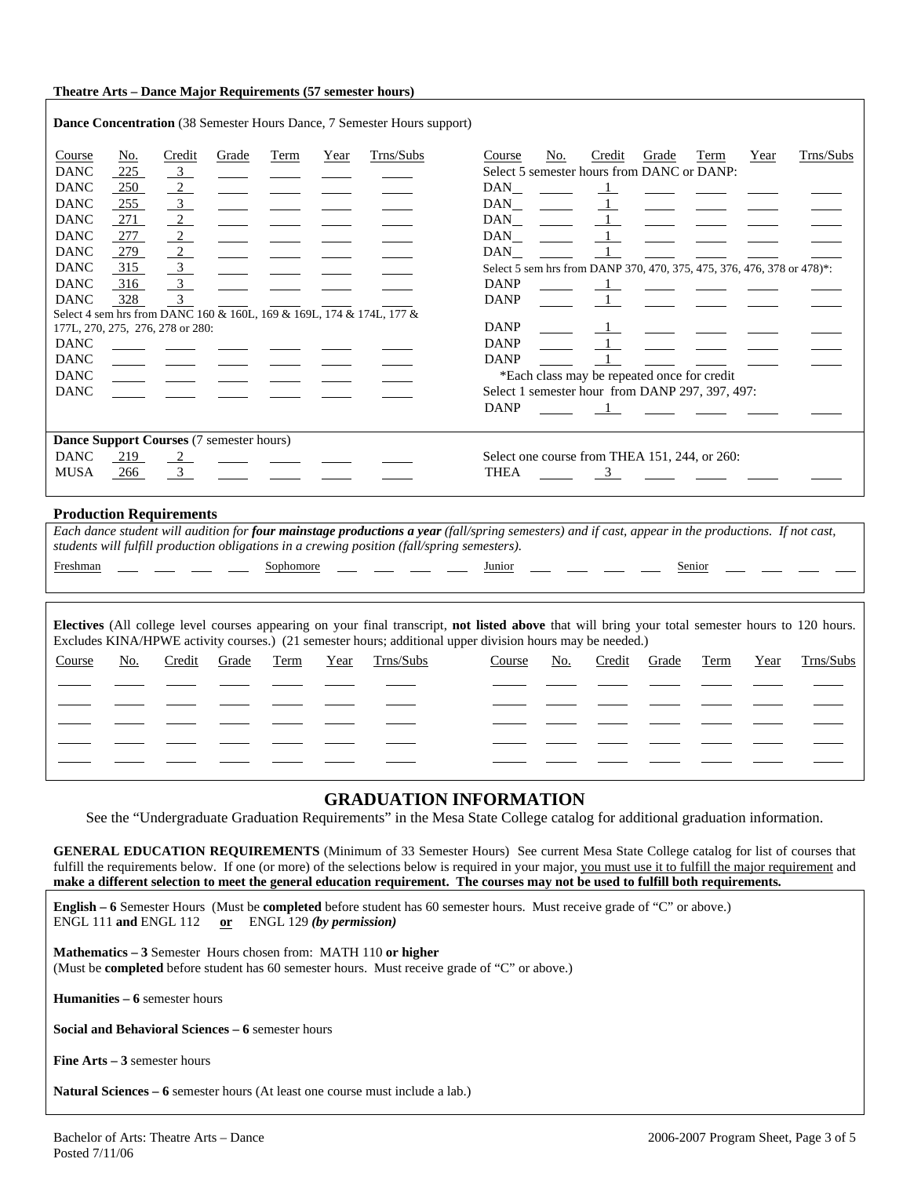#### **Theatre Arts – Dance Major Requirements (57 semester hours)**

|                                          |            |                                     |       |      |      | <b>Dance Concentration</b> (38 Semester Hours Dance, 7 Semester Hours support) |                                                                        |     |               |       |                                                                                  |      |           |
|------------------------------------------|------------|-------------------------------------|-------|------|------|--------------------------------------------------------------------------------|------------------------------------------------------------------------|-----|---------------|-------|----------------------------------------------------------------------------------|------|-----------|
| Course<br><b>DANC</b>                    | No.<br>225 | Credit<br>$\overline{\phantom{0}3}$ | Grade | Term | Year | Trns/Subs                                                                      | Course<br>Select 5 semester hours from DANC or DANP:                   | No. | Credit        | Grade | Term                                                                             | Year | Trns/Subs |
| <b>DANC</b>                              | 250        | $\overline{2}$                      |       |      |      |                                                                                | DAN                                                                    |     |               |       |                                                                                  |      |           |
| <b>DANC</b>                              | 255        | $\overline{\mathbf{3}}$             |       |      |      |                                                                                | DAN                                                                    |     |               |       |                                                                                  |      |           |
| <b>DANC</b>                              | $-271$     | $\frac{2}{2}$                       |       |      |      |                                                                                | DAN                                                                    |     |               |       | <u>and</u> and                                                                   |      |           |
| <b>DANC</b>                              | 277        | $\frac{2}{2}$                       |       |      |      |                                                                                | DAN                                                                    |     |               |       |                                                                                  |      |           |
| <b>DANC</b>                              | 279        | $\frac{2}{2}$                       |       |      |      |                                                                                | DAN                                                                    |     |               |       |                                                                                  |      |           |
| <b>DANC</b>                              | 315        | $\frac{3}{2}$                       |       |      |      |                                                                                | Select 5 sem hrs from DANP 370, 470, 375, 475, 376, 476, 378 or 478)*: |     |               |       |                                                                                  |      |           |
| <b>DANC</b>                              | 316        | $\overline{3}$                      |       |      |      |                                                                                | <b>DANP</b>                                                            |     |               |       | $\mathbf{1}$ and $\mathbf{1}$ and $\mathbf{1}$ and $\mathbf{1}$ and $\mathbf{1}$ |      |           |
| <b>DANC</b>                              | 328        | $\overline{3}$                      |       |      |      |                                                                                | <b>DANP</b>                                                            |     |               |       |                                                                                  |      |           |
| 177L, 270, 275, 276, 278 or 280:         |            |                                     |       |      |      | Select 4 sem hrs from DANC 160 & 160L, 169 & 169L, 174 & 174L, 177 &           | <b>DANP</b>                                                            |     |               |       |                                                                                  |      |           |
| <b>DANC</b>                              |            |                                     |       |      |      |                                                                                | <b>DANP</b>                                                            |     |               |       |                                                                                  |      |           |
| <b>DANC</b>                              |            |                                     |       |      |      |                                                                                | <b>DANP</b>                                                            |     |               |       |                                                                                  |      |           |
| <b>DANC</b>                              |            |                                     |       |      |      |                                                                                |                                                                        |     |               |       | *Each class may be repeated once for credit                                      |      |           |
| <b>DANC</b>                              |            |                                     |       |      |      |                                                                                | Select 1 semester hour from DANP 297, 397, 497:                        |     |               |       |                                                                                  |      |           |
|                                          |            |                                     |       |      |      |                                                                                | <b>DANP</b>                                                            |     |               |       |                                                                                  |      |           |
| Dance Support Courses (7 semester hours) |            |                                     |       |      |      |                                                                                |                                                                        |     |               |       |                                                                                  |      |           |
| <b>DANC</b>                              | 219        | $\frac{2}{2}$                       |       |      |      |                                                                                | Select one course from THEA 151, 244, or 260:                          |     |               |       |                                                                                  |      |           |
| <b>MUSA</b>                              | 266        | $\overline{3}$                      |       |      |      |                                                                                | <b>THEA</b>                                                            |     | $\frac{3}{2}$ |       |                                                                                  |      |           |
|                                          |            |                                     |       |      |      |                                                                                |                                                                        |     |               |       |                                                                                  |      |           |

#### **Production Requirements**

*Each dance student will audition for four mainstage productions a year (fall/spring semesters) and if cast, appear in the productions. If not cast, students will fulfill production obligations in a crewing position (fall/spring semesters).*  Freshman \_\_\_ \_\_\_ \_\_\_ Sophomore \_\_\_ \_\_\_ \_\_\_ Junior \_\_\_ \_\_\_ \_\_ \_\_ Senior

| Electives (All college level courses appearing on your final transcript, not listed above that will bring your total semester hours to 120 hours.<br>Excludes KINA/HPWE activity courses.) (21 semester hours; additional upper division hours may be needed.) |     |        |       |      |      |           |        |     |        |       |      |      |           |
|----------------------------------------------------------------------------------------------------------------------------------------------------------------------------------------------------------------------------------------------------------------|-----|--------|-------|------|------|-----------|--------|-----|--------|-------|------|------|-----------|
| Course                                                                                                                                                                                                                                                         | No. | Credit | Grade | Term | Year | Trns/Subs | Course | No. | Credit | Grade | Term | Year | Trns/Subs |
|                                                                                                                                                                                                                                                                |     |        |       |      |      |           |        |     |        |       |      |      |           |
|                                                                                                                                                                                                                                                                |     |        |       |      |      |           |        |     |        |       |      |      |           |
|                                                                                                                                                                                                                                                                |     |        |       |      |      |           |        |     |        |       |      |      |           |
|                                                                                                                                                                                                                                                                |     |        |       |      |      |           |        |     |        |       |      |      |           |
|                                                                                                                                                                                                                                                                |     |        |       |      |      |           |        |     |        |       |      |      |           |

## **GRADUATION INFORMATION**

See the "Undergraduate Graduation Requirements" in the Mesa State College catalog for additional graduation information.

**GENERAL EDUCATION REQUIREMENTS** (Minimum of 33 Semester Hours) See current Mesa State College catalog for list of courses that fulfill the requirements below. If one (or more) of the selections below is required in your major, you must use it to fulfill the major requirement and **make a different selection to meet the general education requirement. The courses may not be used to fulfill both requirements.**

**English – 6** Semester Hours (Must be **completed** before student has 60 semester hours. Must receive grade of "C" or above.) ENGL 111 **and** ENGL 112 **or** ENGL 129 *(by permission)*

**Mathematics – 3** Semester Hours chosen from: MATH 110 **or higher** (Must be **completed** before student has 60 semester hours. Must receive grade of "C" or above.)

**Humanities – 6** semester hours

**Social and Behavioral Sciences – 6** semester hours

**Fine Arts – 3** semester hours

**Natural Sciences – 6** semester hours (At least one course must include a lab.)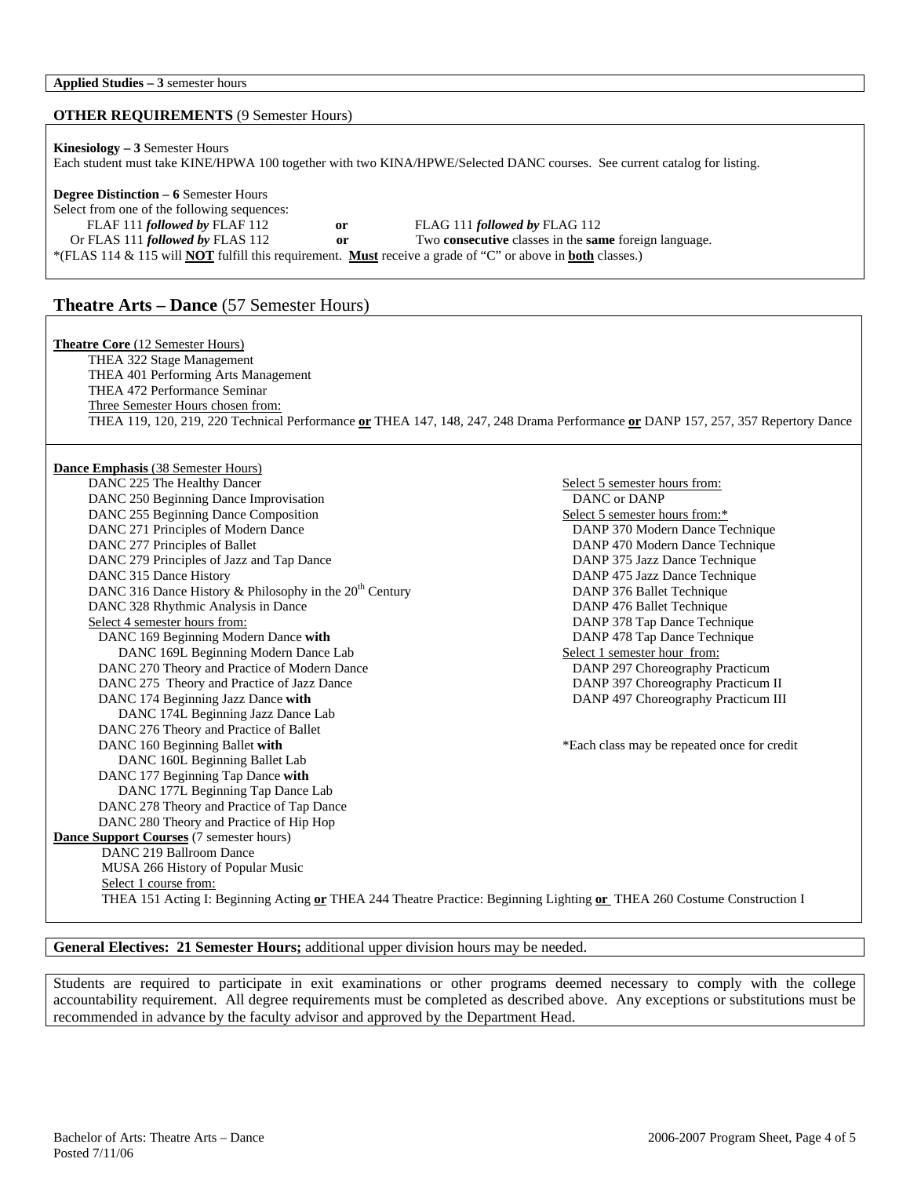### **OTHER REQUIREMENTS** (9 Semester Hours)

| <b>Kinesiology</b> $-3$ Semester Hours                                                                                          |               |                                                                     |  |  |  |  |  |
|---------------------------------------------------------------------------------------------------------------------------------|---------------|---------------------------------------------------------------------|--|--|--|--|--|
| Each student must take KINE/HPWA 100 together with two KINA/HPWE/Selected DANC courses. See current catalog for listing.        |               |                                                                     |  |  |  |  |  |
|                                                                                                                                 |               |                                                                     |  |  |  |  |  |
| <b>Degree Distinction – 6 Semester Hours</b>                                                                                    |               |                                                                     |  |  |  |  |  |
| Select from one of the following sequences:                                                                                     |               |                                                                     |  |  |  |  |  |
| FLAF 111 followed by FLAF 112                                                                                                   | <sub>or</sub> | FLAG 111 followed by FLAG 112                                       |  |  |  |  |  |
| Or FLAS 111 <i>followed by</i> FLAS 112                                                                                         | or            | Two <b>consecutive</b> classes in the <b>same</b> foreign language. |  |  |  |  |  |
| *(FLAS 114 & 115 will <b>NOT</b> fulfill this requirement. <b>Must</b> receive a grade of "C" or above in <b>both</b> classes.) |               |                                                                     |  |  |  |  |  |

# **Theatre Arts – Dance** (57 Semester Hours)

| <b>Theatre Core</b> (12 Semester Hours)                                                                                          |                                             |
|----------------------------------------------------------------------------------------------------------------------------------|---------------------------------------------|
| THEA 322 Stage Management                                                                                                        |                                             |
| THEA 401 Performing Arts Management                                                                                              |                                             |
| THEA 472 Performance Seminar                                                                                                     |                                             |
| Three Semester Hours chosen from:                                                                                                |                                             |
| THEA 119, 120, 219, 220 Technical Performance or THEA 147, 148, 247, 248 Drama Performance or DANP 157, 257, 357 Repertory Dance |                                             |
|                                                                                                                                  |                                             |
|                                                                                                                                  |                                             |
| <b>Dance Emphasis</b> (38 Semester Hours)                                                                                        |                                             |
| DANC 225 The Healthy Dancer                                                                                                      | Select 5 semester hours from:               |
| DANC 250 Beginning Dance Improvisation                                                                                           | DANC or DANP                                |
| DANC 255 Beginning Dance Composition                                                                                             | Select 5 semester hours from:*              |
| DANC 271 Principles of Modern Dance                                                                                              | DANP 370 Modern Dance Technique             |
| DANC 277 Principles of Ballet                                                                                                    | DANP 470 Modern Dance Technique             |
| DANC 279 Principles of Jazz and Tap Dance                                                                                        | DANP 375 Jazz Dance Technique               |
| DANC 315 Dance History                                                                                                           | DANP 475 Jazz Dance Technique               |
| DANC 316 Dance History & Philosophy in the 20 <sup>th</sup> Century                                                              | DANP 376 Ballet Technique                   |
| DANC 328 Rhythmic Analysis in Dance                                                                                              | DANP 476 Ballet Technique                   |
| Select 4 semester hours from:                                                                                                    | DANP 378 Tap Dance Technique                |
| DANC 169 Beginning Modern Dance with                                                                                             | DANP 478 Tap Dance Technique                |
| DANC 169L Beginning Modern Dance Lab                                                                                             | Select 1 semester hour from:                |
| DANC 270 Theory and Practice of Modern Dance                                                                                     | DANP 297 Choreography Practicum             |
| DANC 275 Theory and Practice of Jazz Dance                                                                                       | DANP 397 Choreography Practicum II          |
| DANC 174 Beginning Jazz Dance with                                                                                               | DANP 497 Choreography Practicum III         |
| DANC 174L Beginning Jazz Dance Lab                                                                                               |                                             |
| DANC 276 Theory and Practice of Ballet                                                                                           |                                             |
| DANC 160 Beginning Ballet with                                                                                                   | *Each class may be repeated once for credit |
| DANC 160L Beginning Ballet Lab                                                                                                   |                                             |
| DANC 177 Beginning Tap Dance with                                                                                                |                                             |
| DANC 177L Beginning Tap Dance Lab                                                                                                |                                             |
| DANC 278 Theory and Practice of Tap Dance                                                                                        |                                             |
| DANC 280 Theory and Practice of Hip Hop                                                                                          |                                             |
| Dance Support Courses (7 semester hours)                                                                                         |                                             |
| DANC 219 Ballroom Dance                                                                                                          |                                             |
| MUSA 266 History of Popular Music                                                                                                |                                             |
| Select 1 course from:                                                                                                            |                                             |
| THEA 151 Acting I: Beginning Acting or THEA 244 Theatre Practice: Beginning Lighting or THEA 260 Costume Construction I          |                                             |

### **General Electives: 21 Semester Hours;** additional upper division hours may be needed.

Students are required to participate in exit examinations or other programs deemed necessary to comply with the college accountability requirement. All degree requirements must be completed as described above. Any exceptions or substitutions must be recommended in advance by the faculty advisor and approved by the Department Head.